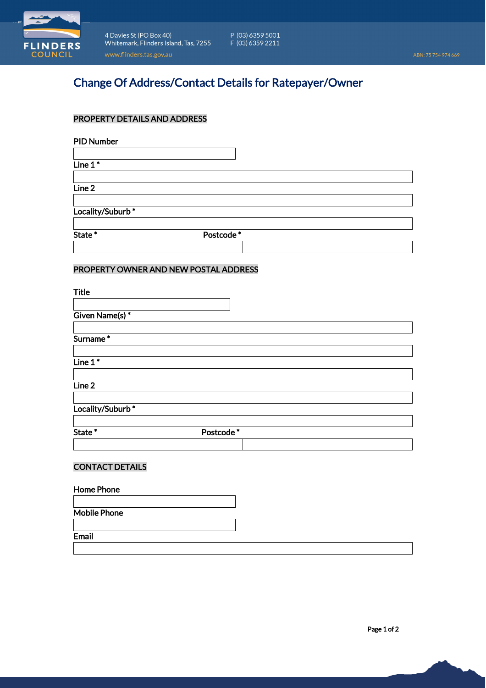

4 Davies St (PO Box 40) <br> $P (03) 6359 5001$ <br>Whitemark, Flinders Island, Tas, 7255  $F (03) 6359 2211$ www.flinders.tas.gov.au

# Change Of Address/Contact Details for Ratepayer/Owner

# PROPERTY DETAILS AND ADDRESS

PID Number

Line 1\*

Line 2

Locality/Suburb<sup>\*</sup>

State \* Postcode \*

# PROPERTY OWNER AND NEW POSTAL ADDRESS

| <b>Title</b>     |           |  |
|------------------|-----------|--|
| Given Name(s)*   |           |  |
| Surname*         |           |  |
|                  |           |  |
| Line $1^*$       |           |  |
| Line 2           |           |  |
| Locality/Suburb* |           |  |
| State*           | Postcode* |  |
|                  |           |  |

# CONTACT DETAILS

#### Home Phone

Mobile Phone

**Email** 

Page 1 of 2